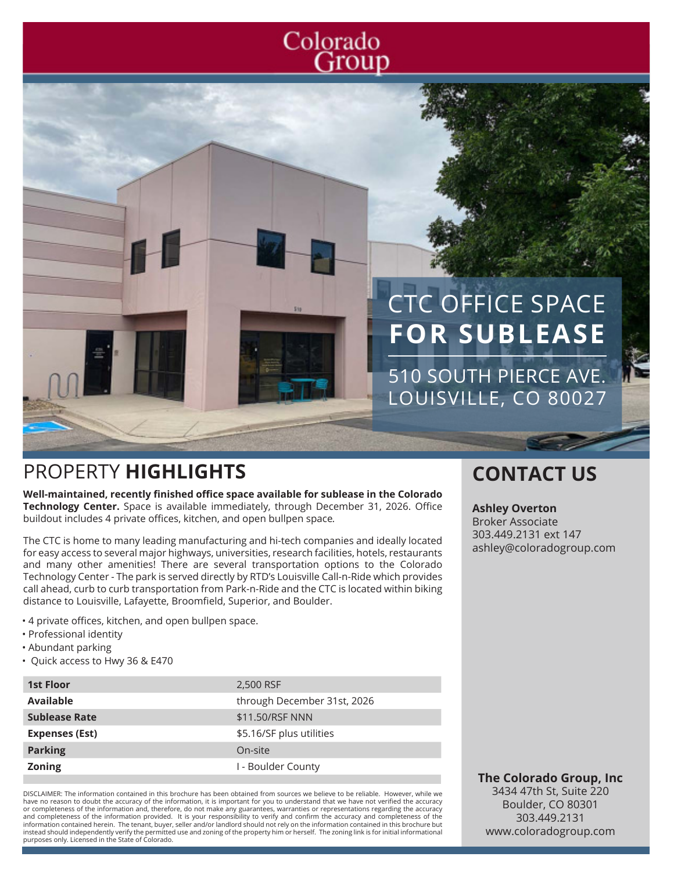## Colorado Group

# CTC OFFICE SPACE **FOR SUBLEASE**

510 SOUTH PIERCE AVE. LOUISVILLE, CO 80027

## PROPERTY **HIGHLIGHTS CONTACT US**

**Well-maintained, recently finished office space available for sublease in the Colorado Technology Center.** Space is available immediately, through December 31, 2026. Office buildout includes 4 private offices, kitchen, and open bullpen space*.*

The CTC is home to many leading manufacturing and hi-tech companies and ideally located for easy access to several major highways, universities, research facilities, hotels, restaurants and many other amenities! There are several transportation options to the Colorado Technology Center - The park is served directly by RTD's Louisville Call-n-Ride which provides call ahead, curb to curb transportation from Park-n-Ride and the CTC is located within biking distance to Louisville, Lafayette, Broomfield, Superior, and Boulder.

- 4 private offices, kitchen, and open bullpen space.
- Professional identity
- Abundant parking
- Quick access to Hwy 36 & E470

| <b>1st Floor</b>      | 2,500 RSF                   |
|-----------------------|-----------------------------|
| <b>Available</b>      | through December 31st, 2026 |
| <b>Sublease Rate</b>  | \$11.50/RSF NNN             |
| <b>Expenses (Est)</b> | \$5.16/SF plus utilities    |
| <b>Parking</b>        | On-site                     |
| <b>Zoning</b>         | I - Boulder County          |

DISCLAIMER: The information contained in this brochure has been obtained from sources we believe to be reliable. However, while we have no reason to doubt the accuracy of the information, it is important for you to understand that we have not verified the accuracy or completeness of the information and, therefore, do not make any guarantees, warranties or representations regarding the accuracy<br>and completeness of the information provided. It is your responsibility to verify and con information contained herein. The tenant, buyer, seller and/or landlord should not rely on the information contained in this brochure but instead should independently verify the permitted use and zoning of the property him or herself. The zoning link is for initial informational purposes only. Licensed in the State of Colorado.

#### **Ashley Overton**

Broker Associate 303.449.2131 ext 147 ashley@coloradogroup.com

**The Colorado Group, Inc** 3434 47th St, Suite 220 Boulder, CO 80301 303.449.2131 www.coloradogroup.com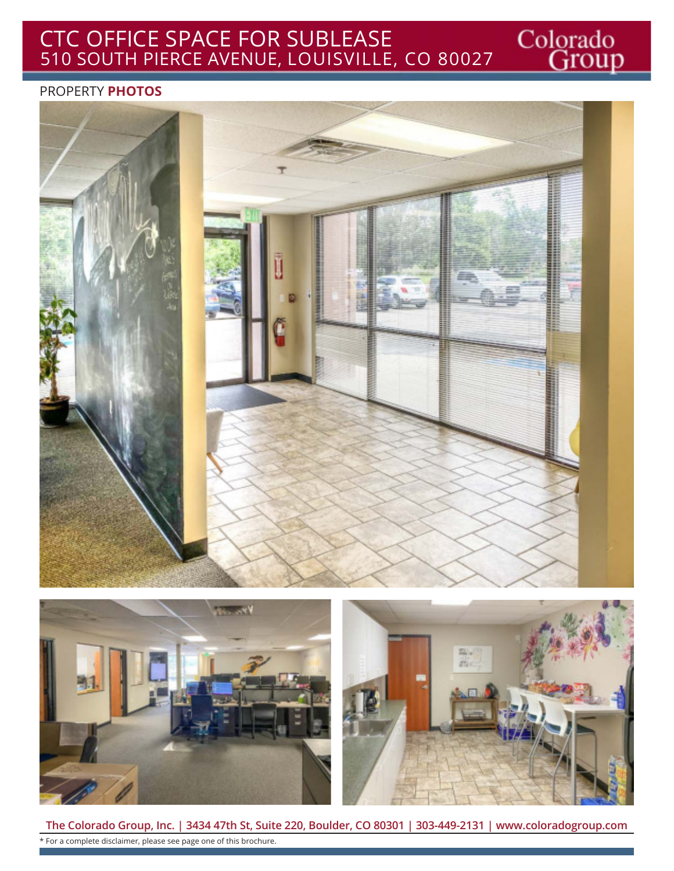## CTC OFFICE SPACE FOR SUBLEASE 510 SOUTH PIERCE AVENUE, LOUISVILLE, CO 80027

#### PROPERTY **PHOTOS**







Colorado<br>Group

**The Colorado Group, Inc. | 3434 47th St, Suite 220, Boulder, CO 80301 | 303-449-2131 | www.coloradogroup.com** \* For a complete disclaimer, please see page one of this brochure.